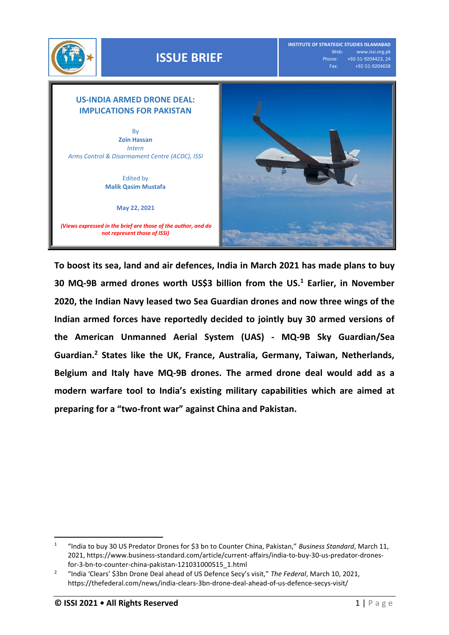



**To boost its sea, land and air defences, India in March 2021 has made plans to buy 30 MQ-9B armed drones worth US\$3 billion from the US. <sup>1</sup> Earlier, in November 2020, the Indian Navy leased two Sea Guardian drones and now three wings of the Indian armed forces have reportedly decided to jointly buy 30 armed versions of the American Unmanned Aerial System (UAS) - MQ-9B Sky Guardian/Sea Guardian. <sup>2</sup> States like the UK, France, Australia, Germany, Taiwan, Netherlands, Belgium and Italy have MQ-9B drones. The armed drone deal would add as a modern warfare tool to India's existing military capabilities which are aimed at preparing for a "two-front war" against China and Pakistan.** 

l 1 "India to buy 30 US Predator Drones for \$3 bn to Counter China, Pakistan," *Business Standard*, March 11, 2021, https://www.business-standard.com/article/current-affairs/india-to-buy-30-us-predator-dronesfor-3-bn-to-counter-china-pakistan-121031000515\_1.html

<sup>2</sup> "India 'Clears' \$3bn Drone Deal ahead of US Defence Secy's visit," *The Federal*, March 10, 2021, https://thefederal.com/news/india-clears-3bn-drone-deal-ahead-of-us-defence-secys-visit/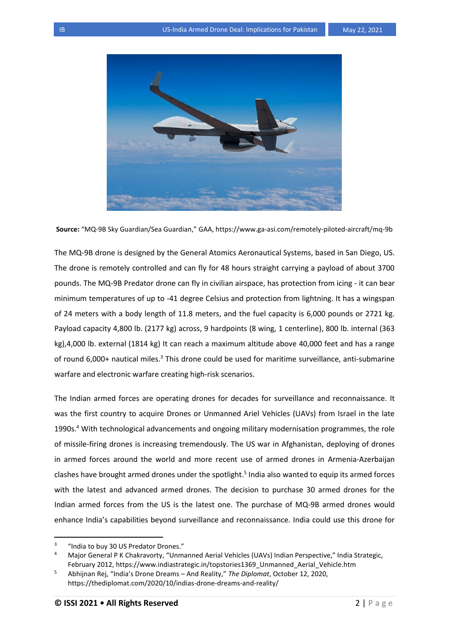

**Source:** "MQ-9B Sky Guardian/Sea Guardian," GAA, https://www.ga-asi.com/remotely-piloted-aircraft/mq-9b

The MQ-9B drone is designed by the General Atomics Aeronautical Systems, based in San Diego, US. The drone is remotely controlled and can fly for 48 hours straight carrying a payload of about 3700 pounds. The MQ-9B Predator drone can fly in civilian airspace, has protection from icing - it can bear minimum temperatures of up to -41 degree Celsius and protection from lightning. It has a wingspan of 24 meters with a body length of 11.8 meters, and the fuel capacity is 6,000 pounds or 2721 kg. Payload capacity 4,800 lb. (2177 kg) across, 9 hardpoints (8 wing, 1 centerline), 800 lb. internal (363 kg),4,000 lb. external (1814 kg) It can reach a maximum altitude above 40,000 feet and has a range of round 6,000+ nautical miles.<sup>3</sup> This drone could be used for maritime surveillance, anti-submarine warfare and electronic warfare creating high-risk scenarios.

The Indian armed forces are operating drones for decades for surveillance and reconnaissance. It was the first country to acquire Drones or Unmanned Ariel Vehicles (UAVs) from Israel in the late 1990s.<sup>4</sup> With technological advancements and ongoing military modernisation programmes, the role of missile-firing drones is increasing tremendously. The US war in Afghanistan, deploying of drones in armed forces around the world and more recent use of armed drones in Armenia-Azerbaijan clashes have brought armed drones under the spotlight.<sup>5</sup> India also wanted to equip its armed forces with the latest and advanced armed drones. The decision to purchase 30 armed drones for the Indian armed forces from the US is the latest one. The purchase of MQ-9B armed drones would enhance India's capabilities beyond surveillance and reconnaissance. India could use this drone for

l

<sup>3</sup> "India to buy 30 US Predator Drones."

<sup>4</sup> Major General P K Chakravorty, "Unmanned Aerial Vehicles (UAVs) Indian Perspective," India Strategic, February 2012, https://www.indiastrategic.in/topstories1369\_Unmanned\_Aerial\_Vehicle.htm

<sup>5</sup> Abhijnan Rej, "India's Drone Dreams – And Reality," *The Diplomat*, October 12, 2020, https://thediplomat.com/2020/10/indias-drone-dreams-and-reality/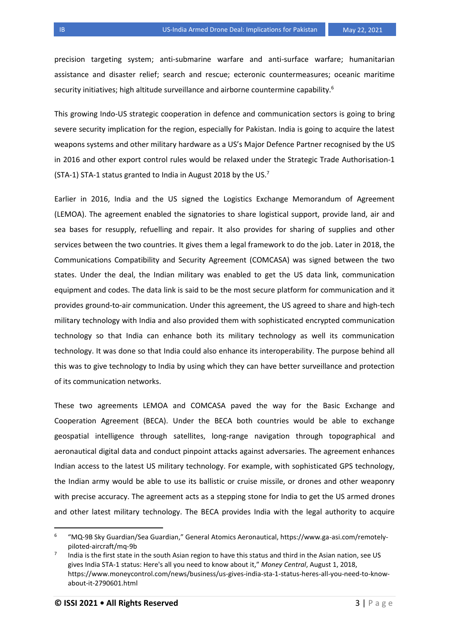precision targeting system; anti-submarine warfare and anti-surface warfare; humanitarian assistance and disaster relief; search and rescue; ecteronic countermeasures; oceanic maritime security initiatives; high altitude surveillance and airborne countermine capability.<sup>6</sup>

This growing Indo-US strategic cooperation in defence and communication sectors is going to bring severe security implication for the region, especially for Pakistan. India is going to acquire the latest weapons systems and other military hardware as a US's Major Defence Partner recognised by the US in 2016 and other export control rules would be relaxed under the Strategic Trade Authorisation-1 (STA-1) STA-1 status granted to India in August 2018 by the US.<sup>7</sup>

Earlier in 2016, India and the US signed the Logistics Exchange Memorandum of Agreement (LEMOA). The agreement enabled the signatories to share logistical support, provide land, air and sea bases for resupply, refuelling and repair. It also provides for sharing of supplies and other services between the two countries. It gives them a legal framework to do the job. Later in 2018, the Communications Compatibility and Security Agreement (COMCASA) was signed between the two states. Under the deal, the Indian military was enabled to get the US data link, communication equipment and codes. The data link is said to be the most secure platform for communication and it provides ground-to-air communication. Under this agreement, the US agreed to share and high-tech military technology with India and also provided them with sophisticated encrypted communication technology so that India can enhance both its military technology as well its communication technology. It was done so that India could also enhance its interoperability. The purpose behind all this was to give technology to India by using which they can have better surveillance and protection of its communication networks.

These two agreements LEMOA and COMCASA paved the way for the Basic Exchange and Cooperation Agreement (BECA). Under the BECA both countries would be able to exchange geospatial intelligence through satellites, long-range navigation through topographical and aeronautical digital data and conduct pinpoint attacks against adversaries. The agreement enhances Indian access to the latest US military technology. For example, with sophisticated GPS technology, the Indian army would be able to use its ballistic or cruise missile, or drones and other weaponry with precise accuracy. The agreement acts as a stepping stone for India to get the US armed drones and other latest military technology. The BECA provides India with the legal authority to acquire

 $\overline{a}$ 

<sup>6</sup> "MQ-9B Sky Guardian/Sea Guardian," General Atomics Aeronautical, https://www.ga-asi.com/remotelypiloted-aircraft/mq-9b

<sup>7</sup> India is the first state in the south Asian region to have this status and third in the Asian nation, see US gives India STA-1 status: Here's all you need to know about it," *Money Central*, August 1, 2018, https://www.moneycontrol.com/news/business/us-gives-india-sta-1-status-heres-all-you-need-to-knowabout-it-2790601.html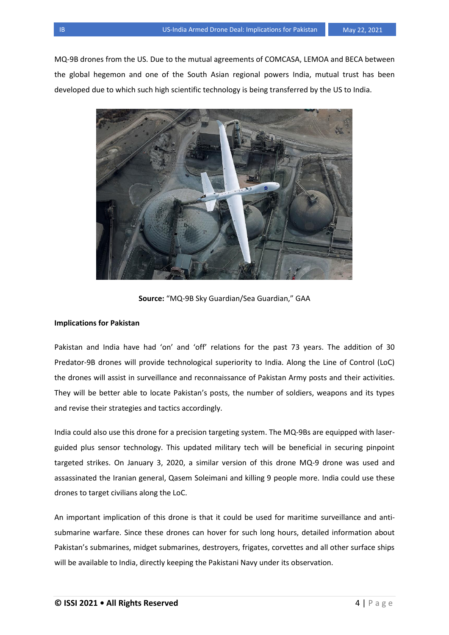MQ-9B drones from the US. Due to the mutual agreements of COMCASA, LEMOA and BECA between the global hegemon and one of the South Asian regional powers India, mutual trust has been developed due to which such high scientific technology is being transferred by the US to India.



**Source:** "MQ-9B Sky Guardian/Sea Guardian," GAA

## **Implications for Pakistan**

Pakistan and India have had 'on' and 'off' relations for the past 73 years. The addition of 30 Predator-9B drones will provide technological superiority to India. Along the Line of Control (LoC) the drones will assist in surveillance and reconnaissance of Pakistan Army posts and their activities. They will be better able to locate Pakistan's posts, the number of soldiers, weapons and its types and revise their strategies and tactics accordingly.

India could also use this drone for a precision targeting system. The MQ-9Bs are equipped with laserguided plus sensor technology. This updated military tech will be beneficial in securing pinpoint targeted strikes. On January 3, 2020, a similar version of this drone MQ-9 drone was used and assassinated the Iranian general, Qasem Soleimani and killing 9 people more. India could use these drones to target civilians along the LoC.

An important implication of this drone is that it could be used for maritime surveillance and antisubmarine warfare. Since these drones can hover for such long hours, detailed information about Pakistan's submarines, midget submarines, destroyers, frigates, corvettes and all other surface ships will be available to India, directly keeping the Pakistani Navy under its observation.